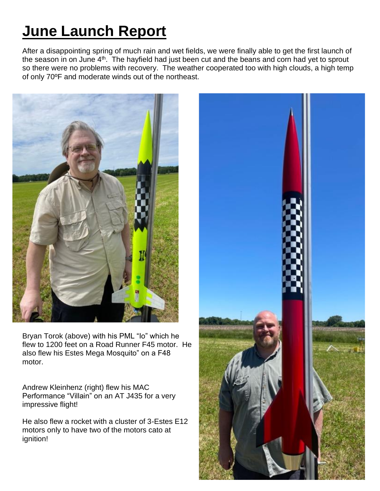## **June Launch Report**

After a disappointing spring of much rain and wet fields, we were finally able to get the first launch of the season in on June  $4<sup>th</sup>$ . The hayfield had just been cut and the beans and corn had yet to sprout so there were no problems with recovery. The weather cooperated too with high clouds, a high temp of only 70ºF and moderate winds out of the northeast.



Bryan Torok (above) with his PML "Io" which he flew to 1200 feet on a Road Runner F45 motor. He also flew his Estes Mega Mosquito" on a F48 motor.

Andrew Kleinhenz (right) flew his MAC Performance "Villain" on an AT J435 for a very impressive flight!

He also flew a rocket with a cluster of 3-Estes E12 motors only to have two of the motors cato at ignition!

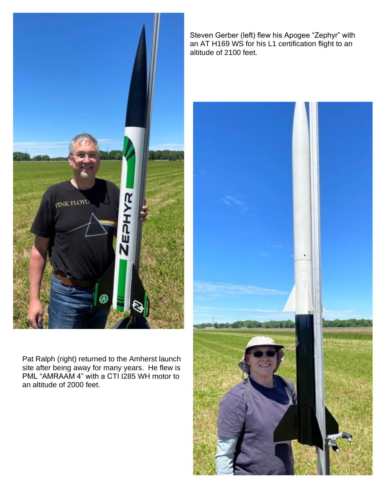

Pat Ralph (right) returned to the Amherst launch site after being away for many years. He flew is PML "AMRAAM 4" with a CTI I285 WH motor to an altitude of 2000 feet.

Steven Gerber (left) flew his Apogee "Zephyr" with an AT H169 WS for his L1 certification flight to an altitude of 2100 feet.

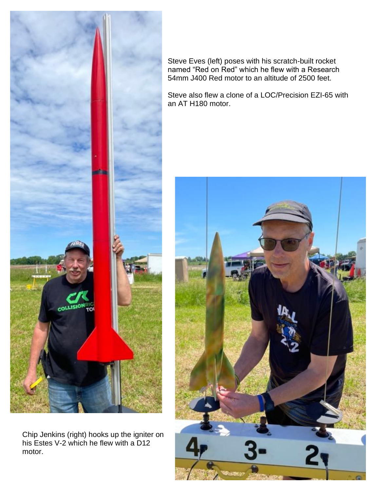

Steve Eves (left) poses with his scratch-built rocket named "Red on Red" which he flew with a Research 54mm J400 Red motor to an altitude of 2500 feet.

Steve also flew a clone of a LOC/Precision EZI-65 with an AT H180 motor.



Chip Jenkins (right) hooks up the igniter on his Estes V-2 which he flew with a D12 motor.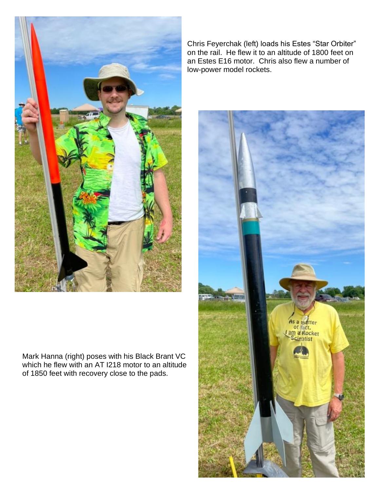

Mark Hanna (right) poses with his Black Brant VC which he flew with an AT I218 motor to an altitude of 1850 feet with recovery close to the pads.

Chris Feyerchak (left) loads his Estes "Star Orbiter" on the rail. He flew it to an altitude of 1800 feet on an Estes E16 motor. Chris also flew a number of low-power model rockets.

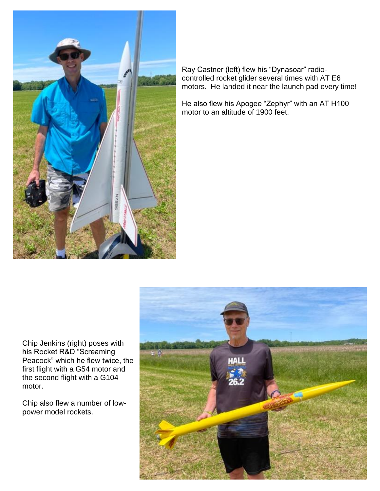

Ray Castner (left) flew his "Dynasoar" radiocontrolled rocket glider several times with AT E6 motors. He landed it near the launch pad every time!

He also flew his Apogee "Zephyr" with an AT H100 motor to an altitude of 1900 feet.

Chip Jenkins (right) poses with his Rocket R&D "Screaming Peacock" which he flew twice, the first flight with a G54 motor and the second flight with a G104 motor.

Chip also flew a number of lowpower model rockets.

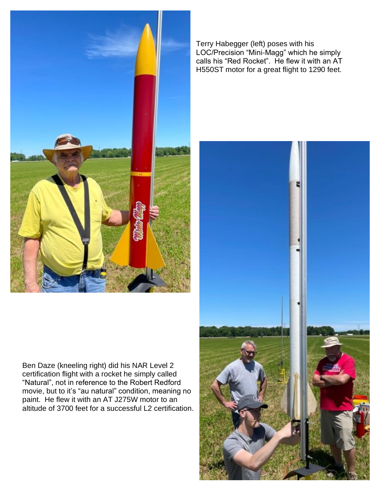

Ben Daze (kneeling right) did his NAR Level 2 certification flight with a rocket he simply called "Natural", not in reference to the Robert Redford movie, but to it's "au natural" condition, meaning no paint. He flew it with an AT J275W motor to an altitude of 3700 feet for a successful L2 certification.

Terry Habegger (left) poses with his LOC/Precision "Mini-Magg" which he simply calls his "Red Rocket". He flew it with an AT H550ST motor for a great flight to 1290 feet.

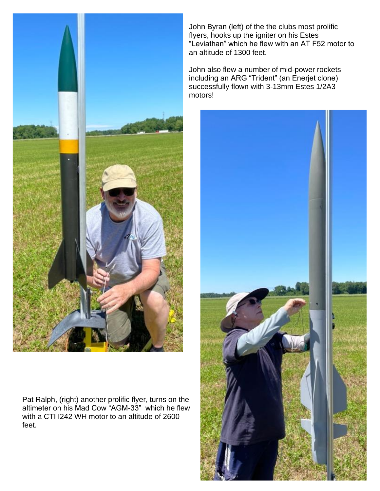

Pat Ralph, (right) another prolific flyer, turns on the altimeter on his Mad Cow "AGM-33" which he flew with a CTI I242 WH motor to an altitude of 2600 feet.

John Byran (left) of the the clubs most prolific flyers, hooks up the igniter on his Estes "Leviathan" which he flew with an AT F52 motor to an altitude of 1300 feet.

John also flew a number of mid-power rockets including an ARG "Trident" (an Enerjet clone) successfully flown with 3-13mm Estes 1/2A3 motors!

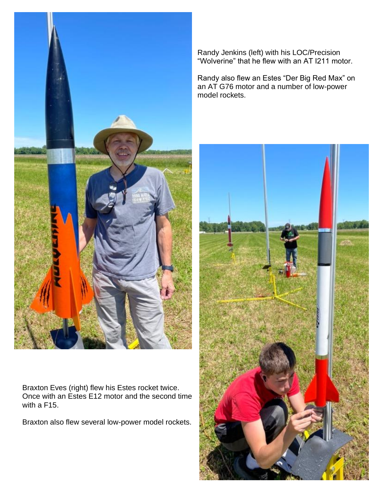

Braxton Eves (right) flew his Estes rocket twice. Once with an Estes E12 motor and the second time with a F15.

Braxton also flew several low-power model rockets.

Randy Jenkins (left) with his LOC/Precision "Wolverine" that he flew with an AT I211 motor.

Randy also flew an Estes "Der Big Red Max" on an AT G76 motor and a number of low-power model rockets.

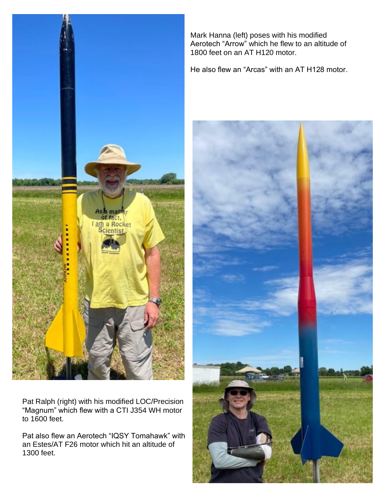

Pat Ralph (right) with his modified LOC/Precision "Magnum" which flew with a CTI J354 WH motor to 1600 feet.

Pat also flew an Aerotech "IQSY Tomahawk" with an Estes/AT F26 motor which hit an altitude of 1300 feet.

Mark Hanna (left) poses with his modified Aerotech "Arrow" which he flew to an altitude of 1800 feet on an AT H120 motor.

He also flew an "Arcas" with an AT H128 motor.